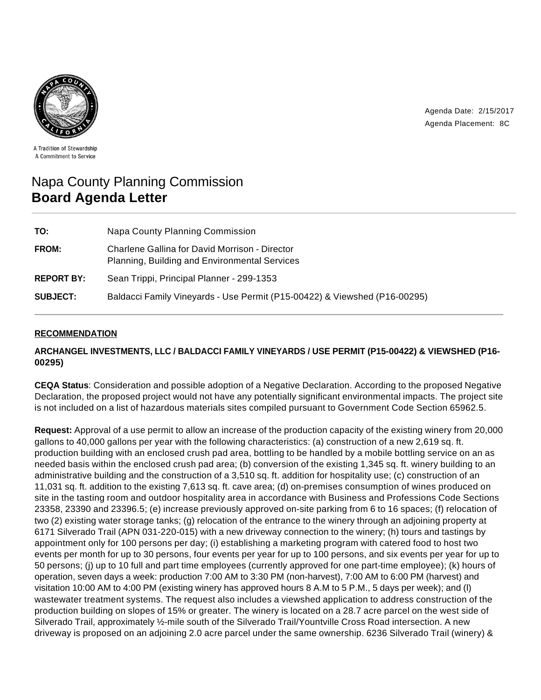

Agenda Date: 2/15/2017 Agenda Placement: 8C

A Tradition of Stewardship A Commitment to Service

# Napa County Planning Commission **Board Agenda Letter**

| TO:               | Napa County Planning Commission                                                                 |
|-------------------|-------------------------------------------------------------------------------------------------|
| FROM:             | Charlene Gallina for David Morrison - Director<br>Planning, Building and Environmental Services |
| <b>REPORT BY:</b> | Sean Trippi, Principal Planner - 299-1353                                                       |
| <b>SUBJECT:</b>   | Baldacci Family Vineyards - Use Permit (P15-00422) & Viewshed (P16-00295)                       |

# **RECOMMENDATION**

# **ARCHANGEL INVESTMENTS, LLC / BALDACCI FAMILY VINEYARDS / USE PERMIT (P15-00422) & VIEWSHED (P16- 00295)**

**CEQA Status**: Consideration and possible adoption of a Negative Declaration. According to the proposed Negative Declaration, the proposed project would not have any potentially significant environmental impacts. The project site is not included on a list of hazardous materials sites compiled pursuant to Government Code Section 65962.5.

**Request:** Approval of a use permit to allow an increase of the production capacity of the existing winery from 20,000 gallons to 40,000 gallons per year with the following characteristics: (a) construction of a new 2,619 sq. ft. production building with an enclosed crush pad area, bottling to be handled by a mobile bottling service on an as needed basis within the enclosed crush pad area; (b) conversion of the existing 1,345 sq. ft. winery building to an administrative building and the construction of a 3,510 sq. ft. addition for hospitality use; (c) construction of an 11,031 sq. ft. addition to the existing 7,613 sq. ft. cave area; (d) on-premises consumption of wines produced on site in the tasting room and outdoor hospitality area in accordance with Business and Professions Code Sections 23358, 23390 and 23396.5; (e) increase previously approved on-site parking from 6 to 16 spaces; (f) relocation of two (2) existing water storage tanks; (g) relocation of the entrance to the winery through an adjoining property at 6171 Silverado Trail (APN 031-220-015) with a new driveway connection to the winery; (h) tours and tastings by appointment only for 100 persons per day; (i) establishing a marketing program with catered food to host two events per month for up to 30 persons, four events per year for up to 100 persons, and six events per year for up to 50 persons; (j) up to 10 full and part time employees (currently approved for one part-time employee); (k) hours of operation, seven days a week: production 7:00 AM to 3:30 PM (non-harvest), 7:00 AM to 6:00 PM (harvest) and visitation 10:00 AM to 4:00 PM (existing winery has approved hours 8 A.M to 5 P.M., 5 days per week); and (l) wastewater treatment systems. The request also includes a viewshed application to address construction of the production building on slopes of 15% or greater. The winery is located on a 28.7 acre parcel on the west side of Silverado Trail, approximately ½-mile south of the Silverado Trail/Yountville Cross Road intersection. A new driveway is proposed on an adjoining 2.0 acre parcel under the same ownership. 6236 Silverado Trail (winery) &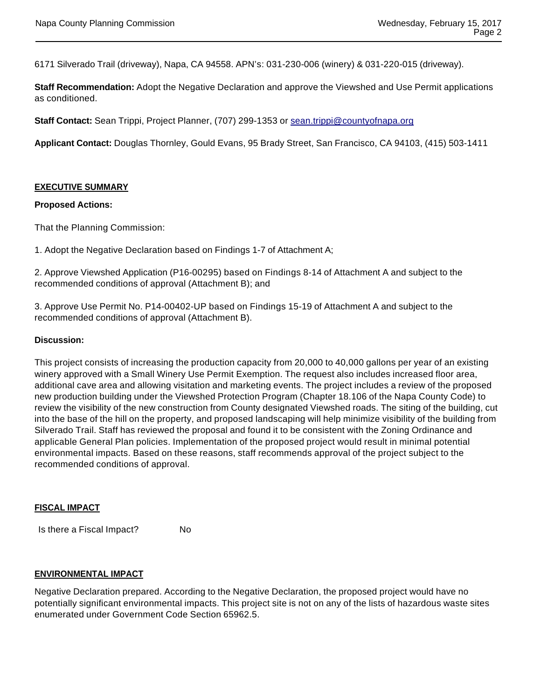6171 Silverado Trail (driveway), Napa, CA 94558. APN's: 031-230-006 (winery) & 031-220-015 (driveway).

**Staff Recommendation:** Adopt the Negative Declaration and approve the Viewshed and Use Permit applications as conditioned.

**Staff Contact:** Sean Trippi, Project Planner, (707) 299-1353 or sean.trippi@countyofnapa.org

**Applicant Contact:** Douglas Thornley, Gould Evans, 95 Brady Street, San Francisco, CA 94103, (415) 503-1411

#### **EXECUTIVE SUMMARY**

#### **Proposed Actions:**

That the Planning Commission:

1. Adopt the Negative Declaration based on Findings 1-7 of Attachment A;

2. Approve Viewshed Application (P16-00295) based on Findings 8-14 of Attachment A and subject to the recommended conditions of approval (Attachment B); and

3. Approve Use Permit No. P14-00402-UP based on Findings 15-19 of Attachment A and subject to the recommended conditions of approval (Attachment B).

#### **Discussion:**

This project consists of increasing the production capacity from 20,000 to 40,000 gallons per year of an existing winery approved with a Small Winery Use Permit Exemption. The request also includes increased floor area, additional cave area and allowing visitation and marketing events. The project includes a review of the proposed new production building under the Viewshed Protection Program (Chapter 18.106 of the Napa County Code) to review the visibility of the new construction from County designated Viewshed roads. The siting of the building, cut into the base of the hill on the property, and proposed landscaping will help minimize visibility of the building from Silverado Trail. Staff has reviewed the proposal and found it to be consistent with the Zoning Ordinance and applicable General Plan policies. Implementation of the proposed project would result in minimal potential environmental impacts. Based on these reasons, staff recommends approval of the project subject to the recommended conditions of approval.

#### **FISCAL IMPACT**

Is there a Fiscal Impact? No

#### **ENVIRONMENTAL IMPACT**

Negative Declaration prepared. According to the Negative Declaration, the proposed project would have no potentially significant environmental impacts. This project site is not on any of the lists of hazardous waste sites enumerated under Government Code Section 65962.5.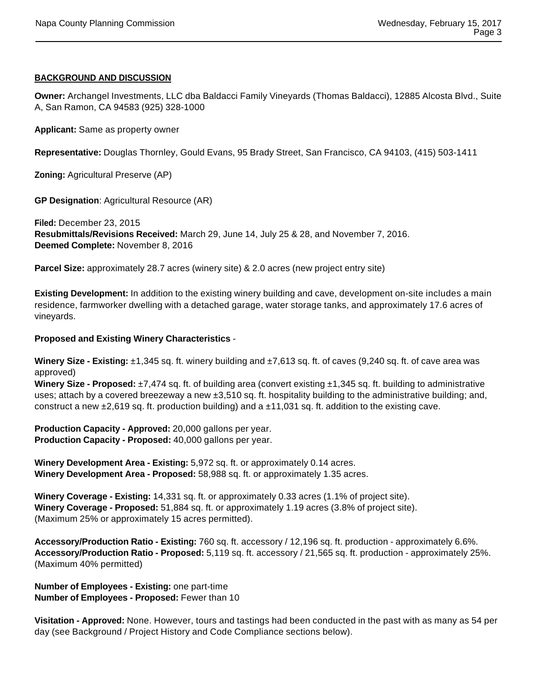## **BACKGROUND AND DISCUSSION**

**Owner:** Archangel Investments, LLC dba Baldacci Family Vineyards (Thomas Baldacci), 12885 Alcosta Blvd., Suite A, San Ramon, CA 94583 (925) 328-1000

**Applicant:** Same as property owner

**Representative:** Douglas Thornley, Gould Evans, 95 Brady Street, San Francisco, CA 94103, (415) 503-1411

**Zoning:** Agricultural Preserve (AP)

**GP Designation**: Agricultural Resource (AR)

**Filed:** December 23, 2015 **Resubmittals/Revisions Received:** March 29, June 14, July 25 & 28, and November 7, 2016. **Deemed Complete:** November 8, 2016

**Parcel Size:** approximately 28.7 acres (winery site) & 2.0 acres (new project entry site)

**Existing Development:** In addition to the existing winery building and cave, development on-site includes a main residence, farmworker dwelling with a detached garage, water storage tanks, and approximately 17.6 acres of vineyards.

## **Proposed and Existing Winery Characteristics** -

**Winery Size - Existing:** ±1,345 sq. ft. winery building and ±7,613 sq. ft. of caves (9,240 sq. ft. of cave area was approved)

**Winery Size - Proposed:** ±7,474 sq. ft. of building area (convert existing ±1,345 sq. ft. building to administrative uses; attach by a covered breezeway a new ±3,510 sq. ft. hospitality building to the administrative building; and, construct a new  $\pm 2,619$  sq. ft. production building) and a  $\pm 11,031$  sq. ft. addition to the existing cave.

**Production Capacity - Approved:** 20,000 gallons per year. **Production Capacity - Proposed:** 40,000 gallons per year.

**Winery Development Area - Existing:** 5,972 sq. ft. or approximately 0.14 acres. **Winery Development Area - Proposed:** 58,988 sq. ft. or approximately 1.35 acres.

**Winery Coverage - Existing:** 14,331 sq. ft. or approximately 0.33 acres (1.1% of project site). **Winery Coverage - Proposed:** 51,884 sq. ft. or approximately 1.19 acres (3.8% of project site). (Maximum 25% or approximately 15 acres permitted).

**Accessory/Production Ratio - Existing:** 760 sq. ft. accessory / 12,196 sq. ft. production - approximately 6.6%. **Accessory/Production Ratio - Proposed:** 5,119 sq. ft. accessory / 21,565 sq. ft. production - approximately 25%. (Maximum 40% permitted)

**Number of Employees - Existing:** one part-time **Number of Employees - Proposed:** Fewer than 10

**Visitation - Approved:** None. However, tours and tastings had been conducted in the past with as many as 54 per day (see Background / Project History and Code Compliance sections below).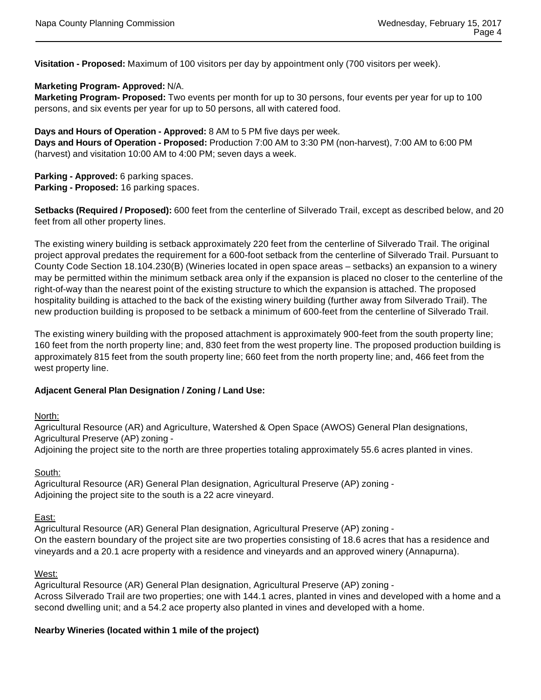**Visitation - Proposed:** Maximum of 100 visitors per day by appointment only (700 visitors per week).

## **Marketing Program- Approved:** N/A.

**Marketing Program- Proposed:** Two events per month for up to 30 persons, four events per year for up to 100 persons, and six events per year for up to 50 persons, all with catered food.

**Days and Hours of Operation - Approved:** 8 AM to 5 PM five days per week. **Days and Hours of Operation - Proposed:** Production 7:00 AM to 3:30 PM (non-harvest), 7:00 AM to 6:00 PM (harvest) and visitation 10:00 AM to 4:00 PM; seven days a week.

**Parking - Approved:** 6 parking spaces. **Parking - Proposed:** 16 parking spaces.

**Setbacks (Required / Proposed):** 600 feet from the centerline of Silverado Trail, except as described below, and 20 feet from all other property lines.

The existing winery building is setback approximately 220 feet from the centerline of Silverado Trail. The original project approval predates the requirement for a 600-foot setback from the centerline of Silverado Trail. Pursuant to County Code Section 18.104.230(B) (Wineries located in open space areas – setbacks) an expansion to a winery may be permitted within the minimum setback area only if the expansion is placed no closer to the centerline of the right-of-way than the nearest point of the existing structure to which the expansion is attached. The proposed hospitality building is attached to the back of the existing winery building (further away from Silverado Trail). The new production building is proposed to be setback a minimum of 600-feet from the centerline of Silverado Trail.

The existing winery building with the proposed attachment is approximately 900-feet from the south property line; 160 feet from the north property line; and, 830 feet from the west property line. The proposed production building is approximately 815 feet from the south property line; 660 feet from the north property line; and, 466 feet from the west property line.

## **Adjacent General Plan Designation / Zoning / Land Use:**

#### North:

Agricultural Resource (AR) and Agriculture, Watershed & Open Space (AWOS) General Plan designations, Agricultural Preserve (AP) zoning -

Adjoining the project site to the north are three properties totaling approximately 55.6 acres planted in vines.

#### South:

Agricultural Resource (AR) General Plan designation, Agricultural Preserve (AP) zoning - Adjoining the project site to the south is a 22 acre vineyard.

## East:

Agricultural Resource (AR) General Plan designation, Agricultural Preserve (AP) zoning - On the eastern boundary of the project site are two properties consisting of 18.6 acres that has a residence and vineyards and a 20.1 acre property with a residence and vineyards and an approved winery (Annapurna).

#### West:

Agricultural Resource (AR) General Plan designation, Agricultural Preserve (AP) zoning - Across Silverado Trail are two properties; one with 144.1 acres, planted in vines and developed with a home and a second dwelling unit; and a 54.2 ace property also planted in vines and developed with a home.

# **Nearby Wineries (located within 1 mile of the project)**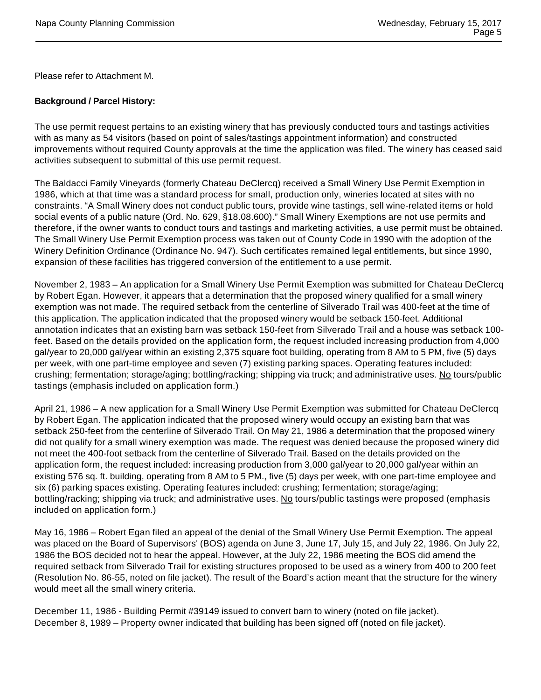Please refer to Attachment M.

# **Background / Parcel History:**

The use permit request pertains to an existing winery that has previously conducted tours and tastings activities with as many as 54 visitors (based on point of sales/tastings appointment information) and constructed improvements without required County approvals at the time the application was filed. The winery has ceased said activities subsequent to submittal of this use permit request.

The Baldacci Family Vineyards (formerly Chateau DeClercq) received a Small Winery Use Permit Exemption in 1986, which at that time was a standard process for small, production only, wineries located at sites with no constraints. "A Small Winery does not conduct public tours, provide wine tastings, sell wine-related items or hold social events of a public nature (Ord. No. 629, §18.08.600)." Small Winery Exemptions are not use permits and therefore, if the owner wants to conduct tours and tastings and marketing activities, a use permit must be obtained. The Small Winery Use Permit Exemption process was taken out of County Code in 1990 with the adoption of the Winery Definition Ordinance (Ordinance No. 947). Such certificates remained legal entitlements, but since 1990, expansion of these facilities has triggered conversion of the entitlement to a use permit.

November 2, 1983 – An application for a Small Winery Use Permit Exemption was submitted for Chateau DeClercq by Robert Egan. However, it appears that a determination that the proposed winery qualified for a small winery exemption was not made. The required setback from the centerline of Silverado Trail was 400-feet at the time of this application. The application indicated that the proposed winery would be setback 150-feet. Additional annotation indicates that an existing barn was setback 150-feet from Silverado Trail and a house was setback 100 feet. Based on the details provided on the application form, the request included increasing production from 4,000 gal/year to 20,000 gal/year within an existing 2,375 square foot building, operating from 8 AM to 5 PM, five (5) days per week, with one part-time employee and seven (7) existing parking spaces. Operating features included: crushing; fermentation; storage/aging; bottling/racking; shipping via truck; and administrative uses. No tours/public tastings (emphasis included on application form.)

April 21, 1986 – A new application for a Small Winery Use Permit Exemption was submitted for Chateau DeClercq by Robert Egan. The application indicated that the proposed winery would occupy an existing barn that was setback 250-feet from the centerline of Silverado Trail. On May 21, 1986 a determination that the proposed winery did not qualify for a small winery exemption was made. The request was denied because the proposed winery did not meet the 400-foot setback from the centerline of Silverado Trail. Based on the details provided on the application form, the request included: increasing production from 3,000 gal/year to 20,000 gal/year within an existing 576 sq. ft. building, operating from 8 AM to 5 PM., five (5) days per week, with one part-time employee and six (6) parking spaces existing. Operating features included: crushing; fermentation; storage/aging; bottling/racking; shipping via truck; and administrative uses. No tours/public tastings were proposed (emphasis included on application form.)

May 16, 1986 – Robert Egan filed an appeal of the denial of the Small Winery Use Permit Exemption. The appeal was placed on the Board of Supervisors' (BOS) agenda on June 3, June 17, July 15, and July 22, 1986. On July 22, 1986 the BOS decided not to hear the appeal. However, at the July 22, 1986 meeting the BOS did amend the required setback from Silverado Trail for existing structures proposed to be used as a winery from 400 to 200 feet (Resolution No. 86-55, noted on file jacket). The result of the Board's action meant that the structure for the winery would meet all the small winery criteria.

December 11, 1986 - Building Permit #39149 issued to convert barn to winery (noted on file jacket). December 8, 1989 – Property owner indicated that building has been signed off (noted on file jacket).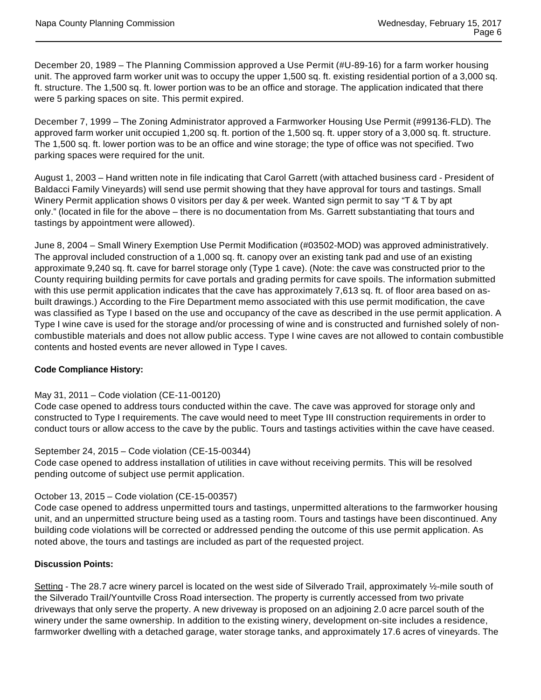December 20, 1989 – The Planning Commission approved a Use Permit (#U-89-16) for a farm worker housing unit. The approved farm worker unit was to occupy the upper 1,500 sq. ft. existing residential portion of a 3,000 sq. ft. structure. The 1,500 sq. ft. lower portion was to be an office and storage. The application indicated that there were 5 parking spaces on site. This permit expired.

December 7, 1999 – The Zoning Administrator approved a Farmworker Housing Use Permit (#99136-FLD). The approved farm worker unit occupied 1,200 sq. ft. portion of the 1,500 sq. ft. upper story of a 3,000 sq. ft. structure. The 1,500 sq. ft. lower portion was to be an office and wine storage; the type of office was not specified. Two parking spaces were required for the unit.

August 1, 2003 – Hand written note in file indicating that Carol Garrett (with attached business card - President of Baldacci Family Vineyards) will send use permit showing that they have approval for tours and tastings. Small Winery Permit application shows 0 visitors per day & per week. Wanted sign permit to say "T & T by apt only." (located in file for the above – there is no documentation from Ms. Garrett substantiating that tours and tastings by appointment were allowed).

June 8, 2004 – Small Winery Exemption Use Permit Modification (#03502-MOD) was approved administratively. The approval included construction of a 1,000 sq. ft. canopy over an existing tank pad and use of an existing approximate 9,240 sq. ft. cave for barrel storage only (Type 1 cave). (Note: the cave was constructed prior to the County requiring building permits for cave portals and grading permits for cave spoils. The information submitted with this use permit application indicates that the cave has approximately 7,613 sq. ft. of floor area based on asbuilt drawings.) According to the Fire Department memo associated with this use permit modification, the cave was classified as Type I based on the use and occupancy of the cave as described in the use permit application. A Type I wine cave is used for the storage and/or processing of wine and is constructed and furnished solely of noncombustible materials and does not allow public access. Type I wine caves are not allowed to contain combustible contents and hosted events are never allowed in Type I caves.

# **Code Compliance History:**

# May 31, 2011 – Code violation (CE-11-00120)

Code case opened to address tours conducted within the cave. The cave was approved for storage only and constructed to Type I requirements. The cave would need to meet Type III construction requirements in order to conduct tours or allow access to the cave by the public. Tours and tastings activities within the cave have ceased.

# September 24, 2015 – Code violation (CE-15-00344)

Code case opened to address installation of utilities in cave without receiving permits. This will be resolved pending outcome of subject use permit application.

# October 13, 2015 – Code violation (CE-15-00357)

Code case opened to address unpermitted tours and tastings, unpermitted alterations to the farmworker housing unit, and an unpermitted structure being used as a tasting room. Tours and tastings have been discontinued. Any building code violations will be corrected or addressed pending the outcome of this use permit application. As noted above, the tours and tastings are included as part of the requested project.

# **Discussion Points:**

Setting - The 28.7 acre winery parcel is located on the west side of Silverado Trail, approximately ½-mile south of the Silverado Trail/Yountville Cross Road intersection. The property is currently accessed from two private driveways that only serve the property. A new driveway is proposed on an adjoining 2.0 acre parcel south of the winery under the same ownership. In addition to the existing winery, development on-site includes a residence, farmworker dwelling with a detached garage, water storage tanks, and approximately 17.6 acres of vineyards. The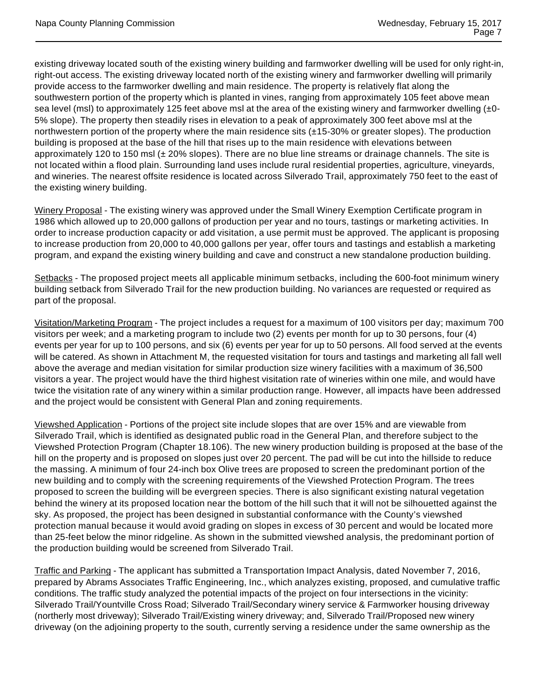existing driveway located south of the existing winery building and farmworker dwelling will be used for only right-in, right-out access. The existing driveway located north of the existing winery and farmworker dwelling will primarily provide access to the farmworker dwelling and main residence. The property is relatively flat along the southwestern portion of the property which is planted in vines, ranging from approximately 105 feet above mean sea level (msl) to approximately 125 feet above msl at the area of the existing winery and farmworker dwelling  $(±0-)$ 5% slope). The property then steadily rises in elevation to a peak of approximately 300 feet above msl at the northwestern portion of the property where the main residence sits (±15-30% or greater slopes). The production building is proposed at the base of the hill that rises up to the main residence with elevations between approximately 120 to 150 msl (± 20% slopes). There are no blue line streams or drainage channels. The site is not located within a flood plain. Surrounding land uses include rural residential properties, agriculture, vineyards, and wineries. The nearest offsite residence is located across Silverado Trail, approximately 750 feet to the east of the existing winery building.

Winery Proposal - The existing winery was approved under the Small Winery Exemption Certificate program in 1986 which allowed up to 20,000 gallons of production per year and no tours, tastings or marketing activities. In order to increase production capacity or add visitation, a use permit must be approved. The applicant is proposing to increase production from 20,000 to 40,000 gallons per year, offer tours and tastings and establish a marketing program, and expand the existing winery building and cave and construct a new standalone production building.

Setbacks - The proposed project meets all applicable minimum setbacks, including the 600-foot minimum winery building setback from Silverado Trail for the new production building. No variances are requested or required as part of the proposal.

Visitation/Marketing Program - The project includes a request for a maximum of 100 visitors per day; maximum 700 visitors per week; and a marketing program to include two (2) events per month for up to 30 persons, four (4) events per year for up to 100 persons, and six (6) events per year for up to 50 persons. All food served at the events will be catered. As shown in Attachment M, the requested visitation for tours and tastings and marketing all fall well above the average and median visitation for similar production size winery facilities with a maximum of 36,500 visitors a year. The project would have the third highest visitation rate of wineries within one mile, and would have twice the visitation rate of any winery within a similar production range. However, all impacts have been addressed and the project would be consistent with General Plan and zoning requirements.

Viewshed Application - Portions of the project site include slopes that are over 15% and are viewable from Silverado Trail, which is identified as designated public road in the General Plan, and therefore subject to the Viewshed Protection Program (Chapter 18.106). The new winery production building is proposed at the base of the hill on the property and is proposed on slopes just over 20 percent. The pad will be cut into the hillside to reduce the massing. A minimum of four 24-inch box Olive trees are proposed to screen the predominant portion of the new building and to comply with the screening requirements of the Viewshed Protection Program. The trees proposed to screen the building will be evergreen species. There is also significant existing natural vegetation behind the winery at its proposed location near the bottom of the hill such that it will not be silhouetted against the sky. As proposed, the project has been designed in substantial conformance with the County's viewshed protection manual because it would avoid grading on slopes in excess of 30 percent and would be located more than 25-feet below the minor ridgeline. As shown in the submitted viewshed analysis, the predominant portion of the production building would be screened from Silverado Trail.

Traffic and Parking - The applicant has submitted a Transportation Impact Analysis, dated November 7, 2016, prepared by Abrams Associates Traffic Engineering, Inc., which analyzes existing, proposed, and cumulative traffic conditions. The traffic study analyzed the potential impacts of the project on four intersections in the vicinity: Silverado Trail/Yountville Cross Road; Silverado Trail/Secondary winery service & Farmworker housing driveway (northerly most driveway); Silverado Trail/Existing winery driveway; and, Silverado Trail/Proposed new winery driveway (on the adjoining property to the south, currently serving a residence under the same ownership as the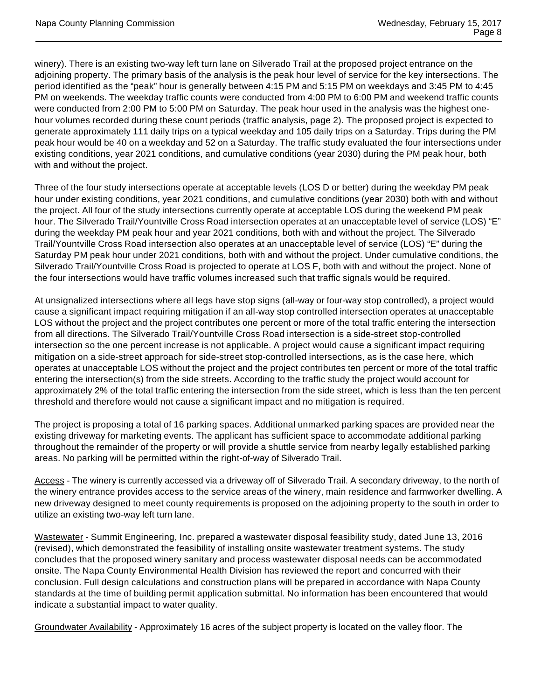winery). There is an existing two-way left turn lane on Silverado Trail at the proposed project entrance on the adjoining property. The primary basis of the analysis is the peak hour level of service for the key intersections. The period identified as the "peak" hour is generally between 4:15 PM and 5:15 PM on weekdays and 3:45 PM to 4:45 PM on weekends. The weekday traffic counts were conducted from 4:00 PM to 6:00 PM and weekend traffic counts were conducted from 2:00 PM to 5:00 PM on Saturday. The peak hour used in the analysis was the highest onehour volumes recorded during these count periods (traffic analysis, page 2). The proposed project is expected to generate approximately 111 daily trips on a typical weekday and 105 daily trips on a Saturday. Trips during the PM peak hour would be 40 on a weekday and 52 on a Saturday. The traffic study evaluated the four intersections under existing conditions, year 2021 conditions, and cumulative conditions (year 2030) during the PM peak hour, both with and without the project.

Three of the four study intersections operate at acceptable levels (LOS D or better) during the weekday PM peak hour under existing conditions, year 2021 conditions, and cumulative conditions (year 2030) both with and without the project. All four of the study intersections currently operate at acceptable LOS during the weekend PM peak hour. The Silverado Trail/Yountville Cross Road intersection operates at an unacceptable level of service (LOS) "E" during the weekday PM peak hour and year 2021 conditions, both with and without the project. The Silverado Trail/Yountville Cross Road intersection also operates at an unacceptable level of service (LOS) "E" during the Saturday PM peak hour under 2021 conditions, both with and without the project. Under cumulative conditions, the Silverado Trail/Yountville Cross Road is projected to operate at LOS F, both with and without the project. None of the four intersections would have traffic volumes increased such that traffic signals would be required.

At unsignalized intersections where all legs have stop signs (all-way or four-way stop controlled), a project would cause a significant impact requiring mitigation if an all-way stop controlled intersection operates at unacceptable LOS without the project and the project contributes one percent or more of the total traffic entering the intersection from all directions. The Silverado Trail/Yountville Cross Road intersection is a side-street stop-controlled intersection so the one percent increase is not applicable. A project would cause a significant impact requiring mitigation on a side-street approach for side-street stop-controlled intersections, as is the case here, which operates at unacceptable LOS without the project and the project contributes ten percent or more of the total traffic entering the intersection(s) from the side streets. According to the traffic study the project would account for approximately 2% of the total traffic entering the intersection from the side street, which is less than the ten percent threshold and therefore would not cause a significant impact and no mitigation is required.

The project is proposing a total of 16 parking spaces. Additional unmarked parking spaces are provided near the existing driveway for marketing events. The applicant has sufficient space to accommodate additional parking throughout the remainder of the property or will provide a shuttle service from nearby legally established parking areas. No parking will be permitted within the right-of-way of Silverado Trail.

Access - The winery is currently accessed via a driveway off of Silverado Trail. A secondary driveway, to the north of the winery entrance provides access to the service areas of the winery, main residence and farmworker dwelling. A new driveway designed to meet county requirements is proposed on the adjoining property to the south in order to utilize an existing two-way left turn lane.

Wastewater - Summit Engineering, Inc. prepared a wastewater disposal feasibility study, dated June 13, 2016 (revised), which demonstrated the feasibility of installing onsite wastewater treatment systems. The study concludes that the proposed winery sanitary and process wastewater disposal needs can be accommodated onsite. The Napa County Environmental Health Division has reviewed the report and concurred with their conclusion. Full design calculations and construction plans will be prepared in accordance with Napa County standards at the time of building permit application submittal. No information has been encountered that would indicate a substantial impact to water quality.

Groundwater Availability - Approximately 16 acres of the subject property is located on the valley floor. The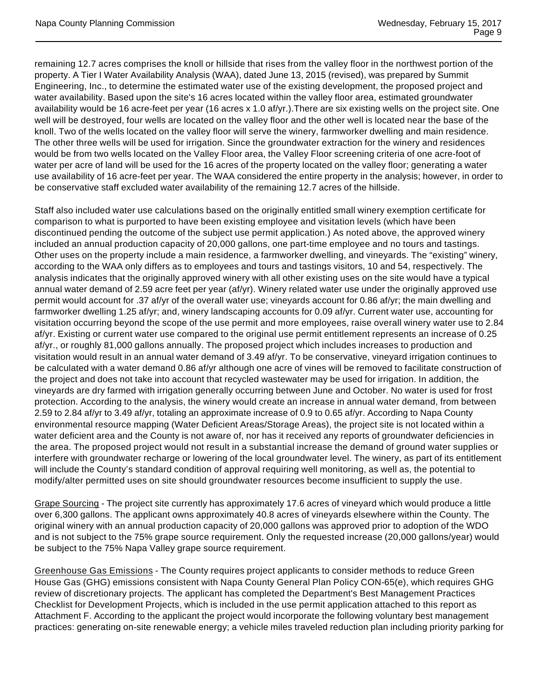remaining 12.7 acres comprises the knoll or hillside that rises from the valley floor in the northwest portion of the property. A Tier I Water Availability Analysis (WAA), dated June 13, 2015 (revised), was prepared by Summit Engineering, Inc., to determine the estimated water use of the existing development, the proposed project and water availability. Based upon the site's 16 acres located within the valley floor area, estimated groundwater availability would be 16 acre-feet per year (16 acres x 1.0 af/yr.).There are six existing wells on the project site. One well will be destroyed, four wells are located on the valley floor and the other well is located near the base of the knoll. Two of the wells located on the valley floor will serve the winery, farmworker dwelling and main residence. The other three wells will be used for irrigation. Since the groundwater extraction for the winery and residences would be from two wells located on the Valley Floor area, the Valley Floor screening criteria of one acre-foot of water per acre of land will be used for the 16 acres of the property located on the valley floor; generating a water use availability of 16 acre-feet per year. The WAA considered the entire property in the analysis; however, in order to be conservative staff excluded water availability of the remaining 12.7 acres of the hillside.

Staff also included water use calculations based on the originally entitled small winery exemption certificate for comparison to what is purported to have been existing employee and visitation levels (which have been discontinued pending the outcome of the subject use permit application.) As noted above, the approved winery included an annual production capacity of 20,000 gallons, one part-time employee and no tours and tastings. Other uses on the property include a main residence, a farmworker dwelling, and vineyards. The "existing" winery, according to the WAA only differs as to employees and tours and tastings visitors, 10 and 54, respectively. The analysis indicates that the originally approved winery with all other existing uses on the site would have a typical annual water demand of 2.59 acre feet per year (af/yr). Winery related water use under the originally approved use permit would account for .37 af/yr of the overall water use; vineyards account for 0.86 af/yr; the main dwelling and farmworker dwelling 1.25 af/yr; and, winery landscaping accounts for 0.09 af/yr. Current water use, accounting for visitation occurring beyond the scope of the use permit and more employees, raise overall winery water use to 2.84 af/yr. Existing or current water use compared to the original use permit entitlement represents an increase of 0.25 af/yr., or roughly 81,000 gallons annually. The proposed project which includes increases to production and visitation would result in an annual water demand of 3.49 af/yr. To be conservative, vineyard irrigation continues to be calculated with a water demand 0.86 af/yr although one acre of vines will be removed to facilitate construction of the project and does not take into account that recycled wastewater may be used for irrigation. In addition, the vineyards are dry farmed with irrigation generally occurring between June and October. No water is used for frost protection. According to the analysis, the winery would create an increase in annual water demand, from between 2.59 to 2.84 af/yr to 3.49 af/yr, totaling an approximate increase of 0.9 to 0.65 af/yr. According to Napa County environmental resource mapping (Water Deficient Areas/Storage Areas), the project site is not located within a water deficient area and the County is not aware of, nor has it received any reports of groundwater deficiencies in the area. The proposed project would not result in a substantial increase the demand of ground water supplies or interfere with groundwater recharge or lowering of the local groundwater level. The winery, as part of its entitlement will include the County's standard condition of approval requiring well monitoring, as well as, the potential to modify/alter permitted uses on site should groundwater resources become insufficient to supply the use.

Grape Sourcing - The project site currently has approximately 17.6 acres of vineyard which would produce a little over 6,300 gallons. The applicant owns approximately 40.8 acres of vineyards elsewhere within the County. The original winery with an annual production capacity of 20,000 gallons was approved prior to adoption of the WDO and is not subject to the 75% grape source requirement. Only the requested increase (20,000 gallons/year) would be subject to the 75% Napa Valley grape source requirement.

Greenhouse Gas Emissions - The County requires project applicants to consider methods to reduce Green House Gas (GHG) emissions consistent with Napa County General Plan Policy CON-65(e), which requires GHG review of discretionary projects. The applicant has completed the Department's Best Management Practices Checklist for Development Projects, which is included in the use permit application attached to this report as Attachment F. According to the applicant the project would incorporate the following voluntary best management practices: generating on-site renewable energy; a vehicle miles traveled reduction plan including priority parking for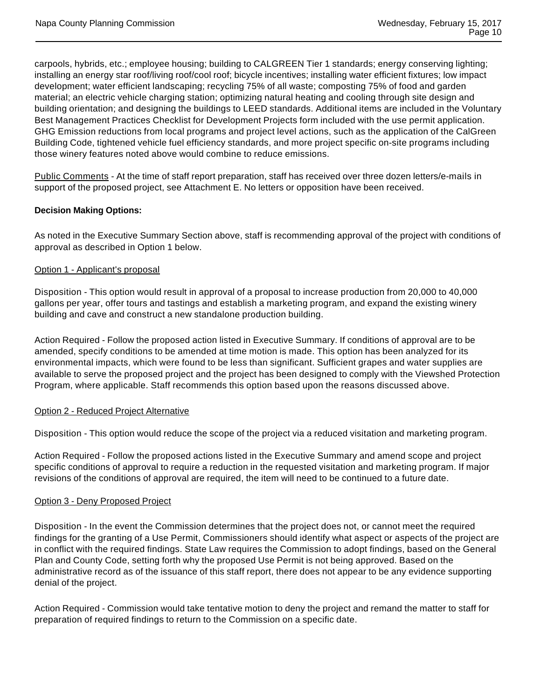carpools, hybrids, etc.; employee housing; building to CALGREEN Tier 1 standards; energy conserving lighting; installing an energy star roof/living roof/cool roof; bicycle incentives; installing water efficient fixtures; low impact development; water efficient landscaping; recycling 75% of all waste; composting 75% of food and garden material; an electric vehicle charging station; optimizing natural heating and cooling through site design and building orientation; and designing the buildings to LEED standards. Additional items are included in the Voluntary Best Management Practices Checklist for Development Projects form included with the use permit application. GHG Emission reductions from local programs and project level actions, such as the application of the CalGreen Building Code, tightened vehicle fuel efficiency standards, and more project specific on-site programs including those winery features noted above would combine to reduce emissions.

Public Comments - At the time of staff report preparation, staff has received over three dozen letters/e-mails in support of the proposed project, see Attachment E. No letters or opposition have been received.

# **Decision Making Options:**

As noted in the Executive Summary Section above, staff is recommending approval of the project with conditions of approval as described in Option 1 below.

#### Option 1 - Applicant's proposal

Disposition - This option would result in approval of a proposal to increase production from 20,000 to 40,000 gallons per year, offer tours and tastings and establish a marketing program, and expand the existing winery building and cave and construct a new standalone production building.

Action Required - Follow the proposed action listed in Executive Summary. If conditions of approval are to be amended, specify conditions to be amended at time motion is made. This option has been analyzed for its environmental impacts, which were found to be less than significant. Sufficient grapes and water supplies are available to serve the proposed project and the project has been designed to comply with the Viewshed Protection Program, where applicable. Staff recommends this option based upon the reasons discussed above.

#### Option 2 - Reduced Project Alternative

Disposition - This option would reduce the scope of the project via a reduced visitation and marketing program.

Action Required - Follow the proposed actions listed in the Executive Summary and amend scope and project specific conditions of approval to require a reduction in the requested visitation and marketing program. If major revisions of the conditions of approval are required, the item will need to be continued to a future date.

# Option 3 - Deny Proposed Project

Disposition - In the event the Commission determines that the project does not, or cannot meet the required findings for the granting of a Use Permit, Commissioners should identify what aspect or aspects of the project are in conflict with the required findings. State Law requires the Commission to adopt findings, based on the General Plan and County Code, setting forth why the proposed Use Permit is not being approved. Based on the administrative record as of the issuance of this staff report, there does not appear to be any evidence supporting denial of the project.

Action Required - Commission would take tentative motion to deny the project and remand the matter to staff for preparation of required findings to return to the Commission on a specific date.